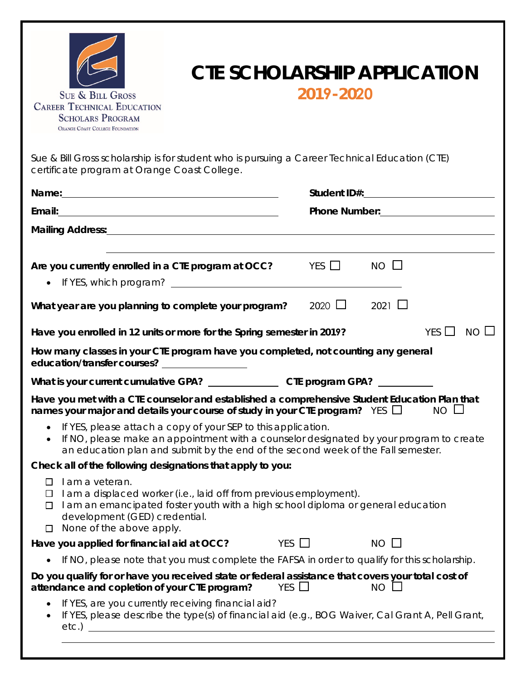

## **CTE SCHOLARSHIP APPLICATION 2019-2020**

Sue & Bill Gross scholarship is for student who is pursuing a Career Technical Education (CTE) certificate program at Orange Coast College.

| Mailing Address: Management of the Contract of the Contract of the Contract of the Contract of the Contract of                                                                                                                                                         |            |             |             |                           |
|------------------------------------------------------------------------------------------------------------------------------------------------------------------------------------------------------------------------------------------------------------------------|------------|-------------|-------------|---------------------------|
|                                                                                                                                                                                                                                                                        |            |             |             |                           |
| Are you currently enrolled in a CTE program at OCC?                                                                                                                                                                                                                    |            | YES $\Box$  | $NO$ $\Box$ |                           |
|                                                                                                                                                                                                                                                                        |            |             |             |                           |
| What year are you planning to complete your program?                                                                                                                                                                                                                   |            | 2020 $\Box$ | 2021 $\Box$ |                           |
| Have you enrolled in 12 units or more for the Spring semester in 2019?                                                                                                                                                                                                 |            |             |             | $NO$ $\Box$<br>YES $\Box$ |
| How many classes in your CTE program have you completed, not counting any general<br>education/transfer courses? ________________                                                                                                                                      |            |             |             |                           |
|                                                                                                                                                                                                                                                                        |            |             |             |                           |
| Have you met with a CTE counselor and established a comprehensive Student Education Plan that<br>names your major and details your course of study in your CTE program? YES $\Box$ NO $\Box$                                                                           |            |             |             |                           |
| • If YES, please attach a copy of your SEP to this application.<br>• If NO, please make an appointment with a counselor designated by your program to create<br>an education plan and submit by the end of the second week of the Fall semester.                       |            |             |             |                           |
| Check all of the following designations that apply to you:                                                                                                                                                                                                             |            |             |             |                           |
| I am a veteran.<br>$\Box$<br>I am a displaced worker (i.e., laid off from previous employment).<br>□<br>I am an emancipated foster youth with a high school diploma or general education<br>$\Box$<br>development (GED) credential.<br>$\Box$ None of the above apply. |            |             |             |                           |
| Have you applied for financial aid at OCC?                                                                                                                                                                                                                             | YES $\Box$ |             | $NO$ $\Box$ |                           |
| • If NO, please note that you must complete the FAFSA in order to qualify for this scholarship.                                                                                                                                                                        |            |             |             |                           |
| Do you qualify for or have you received state or federal assistance that covers your total cost of<br>attendance and copletion of your CTE program?                                                                                                                    | YES $\Box$ |             | NO          |                           |
| If YES, are you currently receiving financial aid?<br>If YES, please describe the type(s) of financial aid (e.g., BOG Waiver, Cal Grant A, Pell Grant,                                                                                                                 |            |             |             |                           |